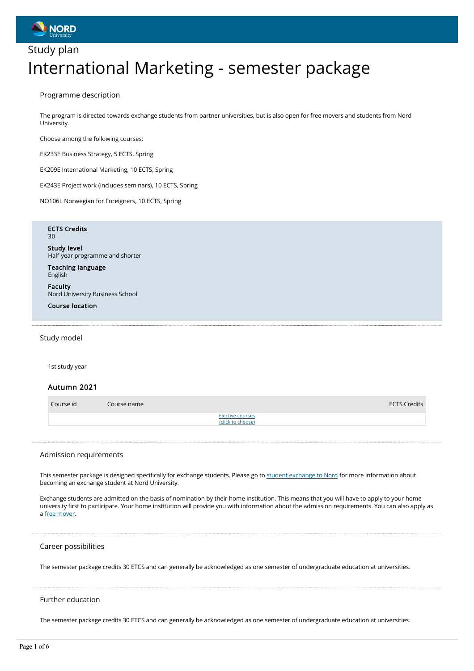

## Study plan International Marketing - semester package

Programme description

The program is directed towards exchange students from partner universities, but is also open for free movers and students from Nord University.

Choose among the following courses:

EK233E Business Strategy, 5 ECTS, Spring

EK209E International Marketing, 10 ECTS, Spring

EK243E Project work (includes seminars), 10 ECTS, Spring

NO106L Norwegian for Foreigners, 10 ECTS, Spring

#### ECTS Credits  $30$

Study level Half-year programme and shorter

Teaching language English

Faculty Nord University Business School

Course location

## Study model

1st study year

## Autumn 2021

| Course id | Course name | <b>ECTS Credits</b>                   |
|-----------|-------------|---------------------------------------|
|           |             | Elective courses<br>(click to choose) |

#### Admission requirements

This semester package is designed specifically for exchange students. Please go to student exchange to Nord for more information about becoming an exchange student at Nord University.

Exchange students are admitted on the basis of nomination by their home institution. This means that you will have to apply to your home university first to participate. Your home institution will provide you with information about the admission requirements. You can also apply as a free mover.

## Career possibilities

The semester package credits 30 ETCS and can generally be acknowledged as one semester of undergraduate education at universities.

## Further education

The semester package credits 30 ETCS and can generally be acknowledged as one semester of undergraduate education at universities.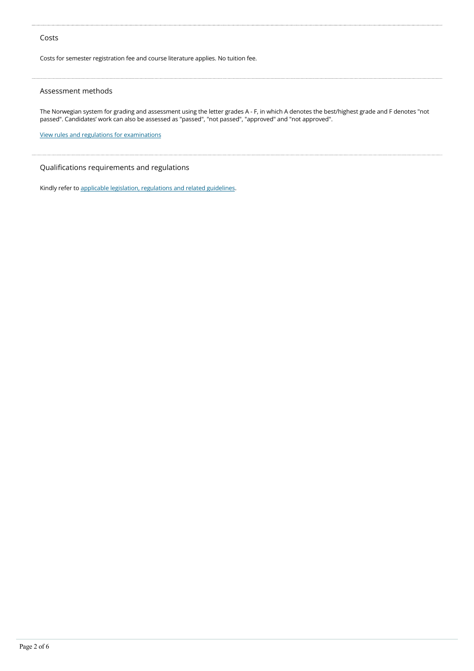## Costs

Costs for semester registration fee and course literature applies. No tuition fee.

## Assessment methods

The Norwegian system for grading and assessment using the letter grades A - F, in which A denotes the best/highest grade and F denotes "not passed". Candidates' work can also be assessed as "passed", "not passed", "approved" and "not approved".

View rules and regulations for examinations

## Qualifications requirements and regulations

Kindly refer to applicable legislation, regulations and related guidelines.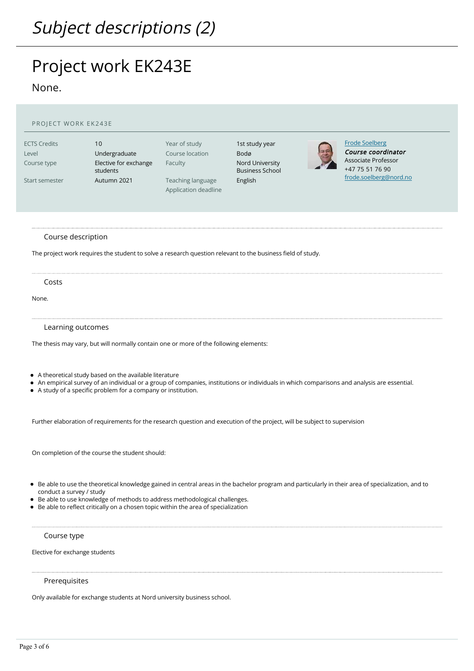# Project work EK243E

None.

| PROJECT WORK EK243E                                           |                                                                                                                                                                                             |                                                                                          |                                                                                |                                                                                                                                                     |  |  |
|---------------------------------------------------------------|---------------------------------------------------------------------------------------------------------------------------------------------------------------------------------------------|------------------------------------------------------------------------------------------|--------------------------------------------------------------------------------|-----------------------------------------------------------------------------------------------------------------------------------------------------|--|--|
| <b>ECTS Credits</b><br>Level<br>Course type<br>Start semester | 10<br>Undergraduate<br>Elective for exchange<br>students<br>Autumn 2021                                                                                                                     | Year of study<br>Course location<br>Faculty<br>Teaching language<br>Application deadline | 1st study year<br>Bodø<br>Nord University<br><b>Business School</b><br>English | <b>Frode Soelberg</b><br>Course coordinator<br><b>Associate Professor</b><br>+47 75 51 76 90<br>frode.soelberg@nord.no                              |  |  |
| Course description                                            | The project work requires the student to solve a research question relevant to the business field of study.                                                                                 |                                                                                          |                                                                                |                                                                                                                                                     |  |  |
| Costs<br>None.                                                |                                                                                                                                                                                             |                                                                                          |                                                                                |                                                                                                                                                     |  |  |
| Learning outcomes                                             | The thesis may vary, but will normally contain one or more of the following elements:<br>• A theoretical study based on the available literature                                            |                                                                                          |                                                                                |                                                                                                                                                     |  |  |
|                                                               | • A study of a specific problem for a company or institution.<br>Further elaboration of requirements for the research question and execution of the project, will be subject to supervision |                                                                                          |                                                                                | • An empirical survey of an individual or a group of companies, institutions or individuals in which comparisons and analysis are essential.        |  |  |
|                                                               | On completion of the course the student should:                                                                                                                                             |                                                                                          |                                                                                |                                                                                                                                                     |  |  |
| conduct a survey / study                                      | • Be able to use knowledge of methods to address methodological challenges.<br>• Be able to reflect critically on a chosen topic within the area of specialization                          |                                                                                          |                                                                                | • Be able to use the theoretical knowledge gained in central areas in the bachelor program and particularly in their area of specialization, and to |  |  |
| Course type<br>Elective for exchange students                 |                                                                                                                                                                                             |                                                                                          |                                                                                |                                                                                                                                                     |  |  |
|                                                               |                                                                                                                                                                                             |                                                                                          |                                                                                |                                                                                                                                                     |  |  |

Prerequisites

Only available for exchange students at Nord university business school.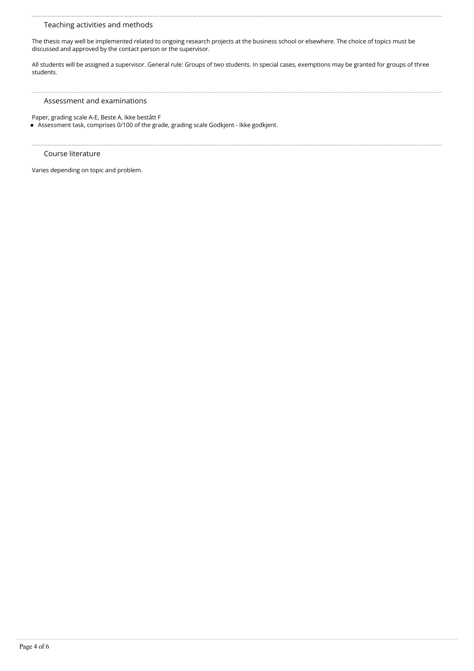## Teaching activities and methods

The thesis may well be implemented related to ongoing research projects at the business school or elsewhere. The choice of topics must be discussed and approved by the contact person or the supervisor.

All students will be assigned a supervisor. General rule: Groups of two students. In special cases, exemptions may be granted for groups of three students.

## Assessment and examinations

Paper, grading scale A-E, Beste A, Ikke bestått F

Assessment task, comprises 0/100 of the grade, grading scale Godkjent - Ikke godkjent.

#### Course literature

Varies depending on topic and problem.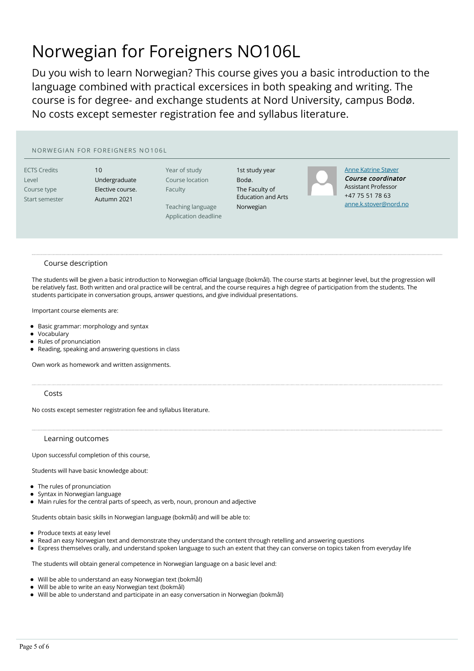## Norwegian for Foreigners NO106L

Du you wish to learn Norwegian? This course gives you a basic introduction to the language combined with practical excersices in both speaking and writing. The course is for degree- and exchange students at Nord University, campus Bodø. No costs except semester registration fee and syllabus literature.

## NORWEGIAN FOR FOREIGNERS NO106L

ECTS Credits 10

Level **Undergraduate** Course type **Elective course.** Start semester Autumn 2021

Year of study 1st study year Course location Bodø. Faculty The Faculty of

Teaching language Norwegian Application deadline

Education and Arts



Anne Katrine Støver Course coordinator Assistant Professor +47 75 51 78 63 anne.k.stover@nord.no

#### Course description

The students will be given a basic introduction to Norwegian official language (bokmål). The course starts at beginner level, but the progression will be relatively fast. Both written and oral practice will be central, and the course requires a high degree of participation from the students. The students participate in conversation groups, answer questions, and give individual presentations.

Important course elements are:

- Basic grammar: morphology and syntax
- Vocabulary
- Rules of pronunciation
- Reading, speaking and answering questions in class

Own work as homework and written assignments.

## Costs

No costs except semester registration fee and syllabus literature.

#### Learning outcomes

Upon successful completion of this course,

Students will have basic knowledge about:

- The rules of pronunciation
- Syntax in Norwegian language
- Main rules for the central parts of speech, as verb, noun, pronoun and adjective

Students obtain basic skills in Norwegian language (bokmål) and will be able to:

- Produce texts at easy level
- Read an easy Norwegian text and demonstrate they understand the content through retelling and answering questions
- Express themselves orally, and understand spoken language to such an extent that they can converse on topics taken from everyday life

The students will obtain general competence in Norwegian language on a basic level and:

- Will be able to understand an easy Norwegian text (bokmål)
- Will be able to write an easy Norwegian text (bokmål)
- $\bullet$ Will be able to understand and participate in an easy conversation in Norwegian (bokmål)